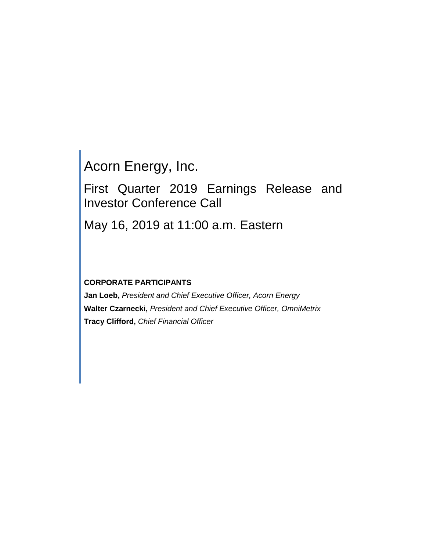Acorn Energy, Inc.

First Quarter 2019 Earnings Release and Investor Conference Call

May 16, 2019 at 11:00 a.m. Eastern

# **CORPORATE PARTICIPANTS**

**Jan Loeb,** *President and Chief Executive Officer, Acorn Energy* **Walter Czarnecki,** *President and Chief Executive Officer, OmniMetrix* **Tracy Clifford,** *Chief Financial Officer*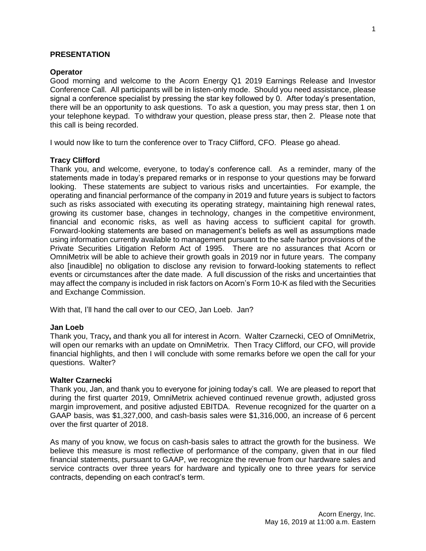## **PRESENTATION**

### **Operator**

Good morning and welcome to the Acorn Energy Q1 2019 Earnings Release and Investor Conference Call. All participants will be in listen-only mode. Should you need assistance, please signal a conference specialist by pressing the star key followed by 0. After today's presentation, there will be an opportunity to ask questions. To ask a question, you may press star, then 1 on your telephone keypad. To withdraw your question, please press star, then 2. Please note that this call is being recorded.

I would now like to turn the conference over to Tracy Clifford, CFO. Please go ahead.

## **Tracy Clifford**

Thank you, and welcome, everyone, to today's conference call. As a reminder, many of the statements made in today's prepared remarks or in response to your questions may be forward looking. These statements are subject to various risks and uncertainties. For example, the operating and financial performance of the company in 2019 and future years is subject to factors such as risks associated with executing its operating strategy, maintaining high renewal rates, growing its customer base, changes in technology, changes in the competitive environment, financial and economic risks, as well as having access to sufficient capital for growth. Forward-looking statements are based on management's beliefs as well as assumptions made using information currently available to management pursuant to the safe harbor provisions of the Private Securities Litigation Reform Act of 1995. There are no assurances that Acorn or OmniMetrix will be able to achieve their growth goals in 2019 nor in future years. The company also [inaudible] no obligation to disclose any revision to forward-looking statements to reflect events or circumstances after the date made. A full discussion of the risks and uncertainties that may affect the company is included in risk factors on Acorn's Form 10-K as filed with the Securities and Exchange Commission.

With that, I'll hand the call over to our CEO, Jan Loeb. Jan?

## **Jan Loeb**

Thank you, Tracy**,** and thank you all for interest in Acorn.Walter Czarnecki, CEO of OmniMetrix, will open our remarks with an update on OmniMetrix. Then Tracy Clifford, our CFO, will provide financial highlights, and then I will conclude with some remarks before we open the call for your questions. Walter?

## **Walter Czarnecki**

Thank you, Jan, and thank you to everyone for joining today's call. We are pleased to report that during the first quarter 2019, OmniMetrix achieved continued revenue growth, adjusted gross margin improvement, and positive adjusted EBITDA. Revenue recognized for the quarter on a GAAP basis, was \$1,327,000, and cash-basis sales were \$1,316,000, an increase of 6 percent over the first quarter of 2018.

As many of you know, we focus on cash-basis sales to attract the growth for the business. We believe this measure is most reflective of performance of the company, given that in our filed financial statements, pursuant to GAAP, we recognize the revenue from our hardware sales and service contracts over three years for hardware and typically one to three years for service contracts, depending on each contract's term.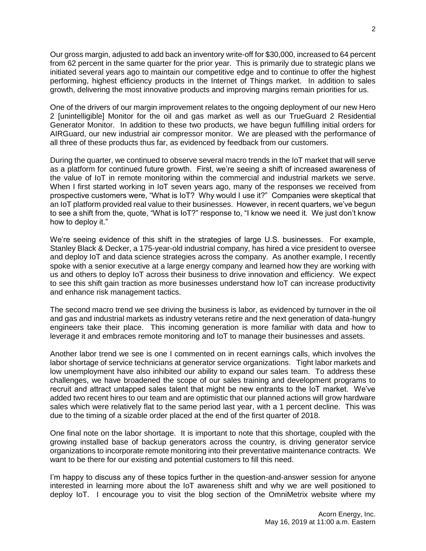Our gross margin, adjusted to add back an inventory write-off for \$30,000, increased to 64 percent from 62 percent in the same quarter for the prior year. This is primarily due to strategic plans we initiated several years ago to maintain our competitive edge and to continue to offer the highest performing, highest efficiency products in the Internet of Things market. In addition to sales growth, delivering the most innovative products and improving margins remain priorities for us.

One of the drivers of our margin improvement relates to the ongoing deployment of our new Hero 2 [unintelligible] Monitor for the oil and gas market as well as our TrueGuard 2 Residential Generator Monitor. In addition to these two products, we have begun fulfilling initial orders for AIRGuard, our new industrial air compressor monitor. We are pleased with the performance of all three of these products thus far, as evidenced by feedback from our customers.

During the quarter, we continued to observe several macro trends in the IoT market that will serve as a platform for continued future growth. First, we're seeing a shift of increased awareness of the value of IoT in remote monitoring within the commercial and industrial markets we serve. When I first started working in IoT seven years ago, many of the responses we received from prospective customers were, "What is IoT? Why would I use it?" Companies were skeptical that an IoT platform provided real value to their businesses. However, in recent quarters, we've begun to see a shift from the, quote, "What is IoT?" response to, "I know we need it. We just don't know how to deploy it."

We're seeing evidence of this shift in the strategies of large U.S. businesses. For example, Stanley Black & Decker, a 175-year-old industrial company, has hired a vice president to oversee and deploy IoT and data science strategies across the company. As another example, I recently spoke with a senior executive at a large energy company and learned how they are working with us and others to deploy IoT across their business to drive innovation and efficiency. We expect to see this shift gain traction as more businesses understand how IoT can increase productivity and enhance risk management tactics.

The second macro trend we see driving the business is labor, as evidenced by turnover in the oil and gas and industrial markets as industry veterans retire and the next generation of data-hungry engineers take their place. This incoming generation is more familiar with data and how to leverage it and embraces remote monitoring and IoT to manage their businesses and assets.

Another labor trend we see is one I commented on in recent earnings calls, which involves the labor shortage of service technicians at generator service organizations. Tight labor markets and low unemployment have also inhibited our ability to expand our sales team. To address these challenges, we have broadened the scope of our sales training and development programs to recruit and attract untapped sales talent that might be new entrants to the IoT market. We've added two recent hires to our team and are optimistic that our planned actions will grow hardware sales which were relatively flat to the same period last year, with a 1 percent decline. This was due to the timing of a sizable order placed at the end of the first quarter of 2018.

One final note on the labor shortage. It is important to note that this shortage, coupled with the growing installed base of backup generators across the country, is driving generator service organizations to incorporate remote monitoring into their preventative maintenance contracts. We want to be there for our existing and potential customers to fill this need.

I'm happy to discuss any of these topics further in the question-and-answer session for anyone interested in learning more about the IoT awareness shift and why we are well positioned to deploy IoT. I encourage you to visit the blog section of the OmniMetrix website where my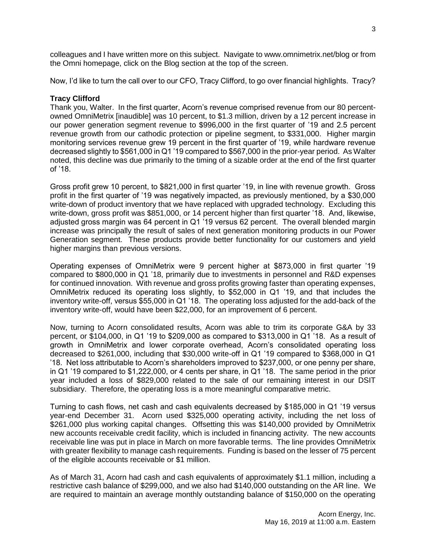colleagues and I have written more on this subject. Navigate to www.omnimetrix.net/blog or from the Omni homepage, click on the Blog section at the top of the screen.

Now, I'd like to turn the call over to our CFO, Tracy Clifford, to go over financial highlights. Tracy?

# **Tracy Clifford**

Thank you, Walter. In the first quarter, Acorn's revenue comprised revenue from our 80 percentowned OmniMetrix [inaudible] was 10 percent, to \$1.3 million, driven by a 12 percent increase in our power generation segment revenue to \$996,000 in the first quarter of '19 and 2.5 percent revenue growth from our cathodic protection or pipeline segment, to \$331,000. Higher margin monitoring services revenue grew 19 percent in the first quarter of '19, while hardware revenue decreased slightly to \$561,000 in Q1 '19 compared to \$567,000 in the prior-year period. As Walter noted, this decline was due primarily to the timing of a sizable order at the end of the first quarter of '18.

Gross profit grew 10 percent, to \$821,000 in first quarter '19, in line with revenue growth. Gross profit in the first quarter of '19 was negatively impacted, as previously mentioned, by a \$30,000 write-down of product inventory that we have replaced with upgraded technology. Excluding this write-down, gross profit was \$851,000, or 14 percent higher than first quarter '18. And, likewise, adjusted gross margin was 64 percent in Q1 '19 versus 62 percent. The overall blended margin increase was principally the result of sales of next generation monitoring products in our Power Generation segment. These products provide better functionality for our customers and yield higher margins than previous versions.

Operating expenses of OmniMetrix were 9 percent higher at \$873,000 in first quarter '19 compared to \$800,000 in Q1 '18, primarily due to investments in personnel and R&D expenses for continued innovation. With revenue and gross profits growing faster than operating expenses, OmniMetrix reduced its operating loss slightly, to \$52,000 in Q1 '19, and that includes the inventory write-off, versus \$55,000 in Q1 '18. The operating loss adjusted for the add-back of the inventory write-off, would have been \$22,000, for an improvement of 6 percent.

Now, turning to Acorn consolidated results, Acorn was able to trim its corporate G&A by 33 percent, or \$104,000, in Q1 '19 to \$209,000 as compared to \$313,000 in Q1 '18. As a result of growth in OmniMetrix and lower corporate overhead, Acorn's consolidated operating loss decreased to \$261,000, including that \$30,000 write-off in Q1 '19 compared to \$368,000 in Q1 '18. Net loss attributable to Acorn's shareholders improved to \$237,000, or one penny per share, in Q1 '19 compared to \$1,222,000, or 4 cents per share, in Q1 '18. The same period in the prior year included a loss of \$829,000 related to the sale of our remaining interest in our DSIT subsidiary. Therefore, the operating loss is a more meaningful comparative metric.

Turning to cash flows, net cash and cash equivalents decreased by \$185,000 in Q1 '19 versus year-end December 31. Acorn used \$325,000 operating activity, including the net loss of \$261,000 plus working capital changes. Offsetting this was \$140,000 provided by OmniMetrix new accounts receivable credit facility, which is included in financing activity. The new accounts receivable line was put in place in March on more favorable terms. The line provides OmniMetrix with greater flexibility to manage cash requirements. Funding is based on the lesser of 75 percent of the eligible accounts receivable or \$1 million.

As of March 31, Acorn had cash and cash equivalents of approximately \$1.1 million, including a restrictive cash balance of \$299,000, and we also had \$140,000 outstanding on the AR line. We are required to maintain an average monthly outstanding balance of \$150,000 on the operating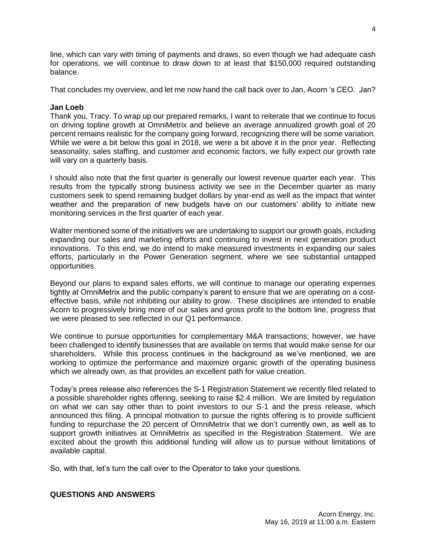line, which can vary with timing of payments and draws, so even though we had adequate cash for operations, we will continue to draw down to at least that \$150,000 required outstanding balance.

That concludes my overview, and let me now hand the call back over to Jan, Acorn 's CEO. Jan?

# **Jan Loeb**

Thank you, Tracy. To wrap up our prepared remarks, I want to reiterate that we continue to focus on driving topline growth at OmniMetrix and believe an average annualized growth goal of 20 percent remains realistic for the company going forward, recognizing there will be some variation. While we were a bit below this goal in 2018, we were a bit above it in the prior year. Reflecting seasonality, sales staffing, and customer and economic factors, we fully expect our growth rate will vary on a quarterly basis.

I should also note that the first quarter is generally our lowest revenue quarter each year. This results from the typically strong business activity we see in the December quarter as many customers seek to spend remaining budget dollars by year-end as well as the impact that winter weather and the preparation of new budgets have on our customers' ability to initiate new monitoring services in the first quarter of each year.

Walter mentioned some of the initiatives we are undertaking to support our growth goals, including expanding our sales and marketing efforts and continuing to invest in next generation product innovations. To this end, we do intend to make measured investments in expanding our sales efforts, particularly in the Power Generation segment, where we see substantial untapped opportunities.

Beyond our plans to expand sales efforts, we will continue to manage our operating expenses tightly at OmniMetrix and the public company's parent to ensure that we are operating on a costeffective basis, while not inhibiting our ability to grow. These disciplines are intended to enable Acorn to progressively bring more of our sales and gross profit to the bottom line, progress that we were pleased to see reflected in our Q1 performance.

We continue to pursue opportunities for complementary M&A transactions; however, we have been challenged to identify businesses that are available on terms that would make sense for our shareholders. While this process continues in the background as we've mentioned, we are working to optimize the performance and maximize organic growth of the operating business which we already own, as that provides an excellent path for value creation.

Today's press release also references the S-1 Registration Statement we recently filed related to a possible shareholder rights offering, seeking to raise \$2.4 million. We are limited by regulation on what we can say other than to point investors to our S-1 and the press release, which announced this filing. A principal motivation to pursue the rights offering is to provide sufficient funding to repurchase the 20 percent of OmniMetrix that we don't currently own, as well as to support growth initiatives at OmniMetrix as specified in the Registration Statement. We are excited about the growth this additional funding will allow us to pursue without limitations of available capital.

So, with that, let's turn the call over to the Operator to take your questions.

## **QUESTIONS AND ANSWERS**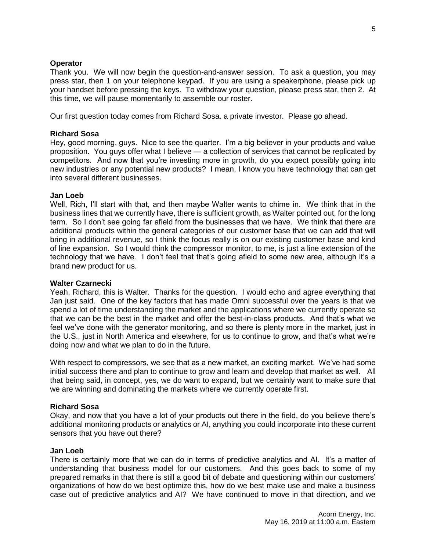# **Operator**

Thank you. We will now begin the question-and-answer session. To ask a question, you may press star, then 1 on your telephone keypad. If you are using a speakerphone, please pick up your handset before pressing the keys. To withdraw your question, please press star, then 2. At this time, we will pause momentarily to assemble our roster.

Our first question today comes from Richard Sosa. a private investor. Please go ahead.

# **Richard Sosa**

Hey, good morning, guys. Nice to see the quarter. I'm a big believer in your products and value proposition. You guys offer what I believe — a collection of services that cannot be replicated by competitors. And now that you're investing more in growth, do you expect possibly going into new industries or any potential new products? I mean, I know you have technology that can get into several different businesses.

# **Jan Loeb**

Well, Rich, I'll start with that, and then maybe Walter wants to chime in. We think that in the business lines that we currently have, there is sufficient growth, as Walter pointed out, for the long term. So I don't see going far afield from the businesses that we have. We think that there are additional products within the general categories of our customer base that we can add that will bring in additional revenue, so I think the focus really is on our existing customer base and kind of line expansion. So I would think the compressor monitor, to me, is just a line extension of the technology that we have. I don't feel that that's going afield to some new area, although it's a brand new product for us.

## **Walter Czarnecki**

Yeah, Richard, this is Walter. Thanks for the question. I would echo and agree everything that Jan just said. One of the key factors that has made Omni successful over the years is that we spend a lot of time understanding the market and the applications where we currently operate so that we can be the best in the market and offer the best-in-class products. And that's what we feel we've done with the generator monitoring, and so there is plenty more in the market, just in the U.S., just in North America and elsewhere, for us to continue to grow, and that's what we're doing now and what we plan to do in the future.

With respect to compressors, we see that as a new market, an exciting market. We've had some initial success there and plan to continue to grow and learn and develop that market as well. All that being said, in concept, yes, we do want to expand, but we certainly want to make sure that we are winning and dominating the markets where we currently operate first.

# **Richard Sosa**

Okay, and now that you have a lot of your products out there in the field, do you believe there's additional monitoring products or analytics or AI, anything you could incorporate into these current sensors that you have out there?

## **Jan Loeb**

There is certainly more that we can do in terms of predictive analytics and AI. It's a matter of understanding that business model for our customers. And this goes back to some of my prepared remarks in that there is still a good bit of debate and questioning within our customers' organizations of how do we best optimize this, how do we best make use and make a business case out of predictive analytics and AI? We have continued to move in that direction, and we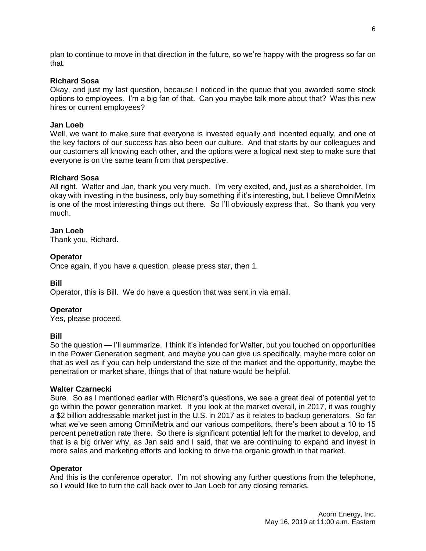plan to continue to move in that direction in the future, so we're happy with the progress so far on that.

# **Richard Sosa**

Okay, and just my last question, because I noticed in the queue that you awarded some stock options to employees. I'm a big fan of that. Can you maybe talk more about that? Was this new hires or current employees?

### **Jan Loeb**

Well, we want to make sure that everyone is invested equally and incented equally, and one of the key factors of our success has also been our culture. And that starts by our colleagues and our customers all knowing each other, and the options were a logical next step to make sure that everyone is on the same team from that perspective.

### **Richard Sosa**

All right. Walter and Jan, thank you very much. I'm very excited, and, just as a shareholder, I'm okay with investing in the business, only buy something if it's interesting, but, I believe OmniMetrix is one of the most interesting things out there. So I'll obviously express that. So thank you very much.

### **Jan Loeb**

Thank you, Richard.

### **Operator**

Once again, if you have a question, please press star, then 1.

#### **Bill**

Operator, this is Bill. We do have a question that was sent in via email.

#### **Operator**

Yes, please proceed.

#### **Bill**

So the question — I'll summarize. I think it's intended for Walter, but you touched on opportunities in the Power Generation segment, and maybe you can give us specifically, maybe more color on that as well as if you can help understand the size of the market and the opportunity, maybe the penetration or market share, things that of that nature would be helpful.

### **Walter Czarnecki**

Sure. So as I mentioned earlier with Richard's questions, we see a great deal of potential yet to go within the power generation market. If you look at the market overall, in 2017, it was roughly a \$2 billion addressable market just in the U.S. in 2017 as it relates to backup generators. So far what we've seen among OmniMetrix and our various competitors, there's been about a 10 to 15 percent penetration rate there. So there is significant potential left for the market to develop, and that is a big driver why, as Jan said and I said, that we are continuing to expand and invest in more sales and marketing efforts and looking to drive the organic growth in that market.

#### **Operator**

And this is the conference operator. I'm not showing any further questions from the telephone, so I would like to turn the call back over to Jan Loeb for any closing remarks.